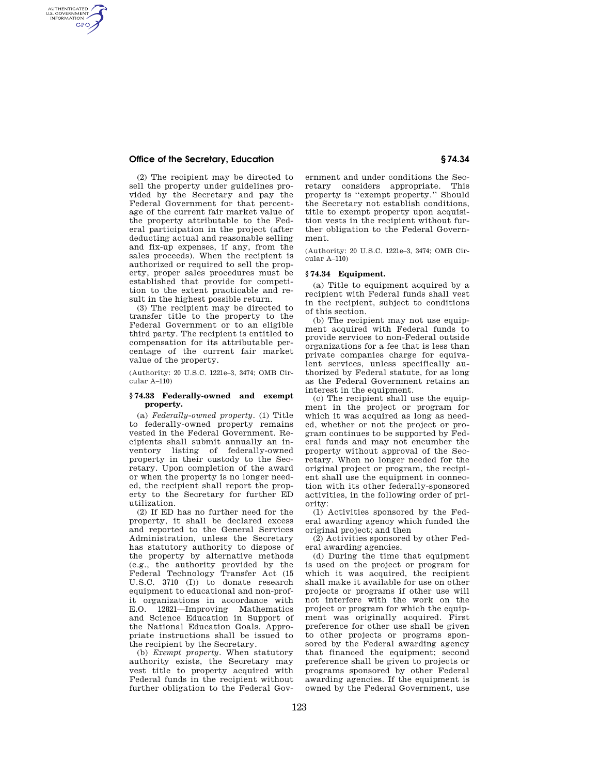# **Office of the Secretary, Education § 74.34**

AUTHENTICATED<br>U.S. GOVERNMENT<br>INFORMATION **GPO** 

> (2) The recipient may be directed to sell the property under guidelines provided by the Secretary and pay the Federal Government for that percentage of the current fair market value of the property attributable to the Federal participation in the project (after deducting actual and reasonable selling and fix-up expenses, if any, from the sales proceeds). When the recipient is authorized or required to sell the property, proper sales procedures must be established that provide for competition to the extent practicable and result in the highest possible return.

> (3) The recipient may be directed to transfer title to the property to the Federal Government or to an eligible third party. The recipient is entitled to compensation for its attributable percentage of the current fair market value of the property.

(Authority: 20 U.S.C. 1221e–3, 3474; OMB Circular A–110)

### **§ 74.33 Federally-owned and exempt property.**

(a) *Federally-owned property.* (1) Title to federally-owned property remains vested in the Federal Government. Recipients shall submit annually an inventory listing of federally-owned property in their custody to the Secretary. Upon completion of the award or when the property is no longer needed, the recipient shall report the property to the Secretary for further ED utilization.

(2) If ED has no further need for the property, it shall be declared excess and reported to the General Services Administration, unless the Secretary has statutory authority to dispose of the property by alternative methods (e.g., the authority provided by the Federal Technology Transfer Act (15 U.S.C. 3710 (I)) to donate research equipment to educational and non-profit organizations in accordance with E.O. 12821—Improving Mathematics and Science Education in Support of the National Education Goals. Appropriate instructions shall be issued to the recipient by the Secretary.

(b) *Exempt property.* When statutory authority exists, the Secretary may vest title to property acquired with Federal funds in the recipient without further obligation to the Federal Government and under conditions the Secretary considers appropriate. This property is ''exempt property.'' Should the Secretary not establish conditions, title to exempt property upon acquisition vests in the recipient without further obligation to the Federal Government.

(Authority: 20 U.S.C. 1221e–3, 3474; OMB Circular A–110)

### **§ 74.34 Equipment.**

(a) Title to equipment acquired by a recipient with Federal funds shall vest in the recipient, subject to conditions of this section.

(b) The recipient may not use equipment acquired with Federal funds to provide services to non-Federal outside organizations for a fee that is less than private companies charge for equivalent services, unless specifically authorized by Federal statute, for as long as the Federal Government retains an interest in the equipment.

(c) The recipient shall use the equipment in the project or program for which it was acquired as long as needed, whether or not the project or program continues to be supported by Federal funds and may not encumber the property without approval of the Secretary. When no longer needed for the original project or program, the recipient shall use the equipment in connection with its other federally-sponsored activities, in the following order of priority:

(1) Activities sponsored by the Federal awarding agency which funded the original project; and then

(2) Activities sponsored by other Federal awarding agencies.

(d) During the time that equipment is used on the project or program for which it was acquired, the recipient shall make it available for use on other projects or programs if other use will not interfere with the work on the project or program for which the equipment was originally acquired. First preference for other use shall be given to other projects or programs sponsored by the Federal awarding agency that financed the equipment; second preference shall be given to projects or programs sponsored by other Federal awarding agencies. If the equipment is owned by the Federal Government, use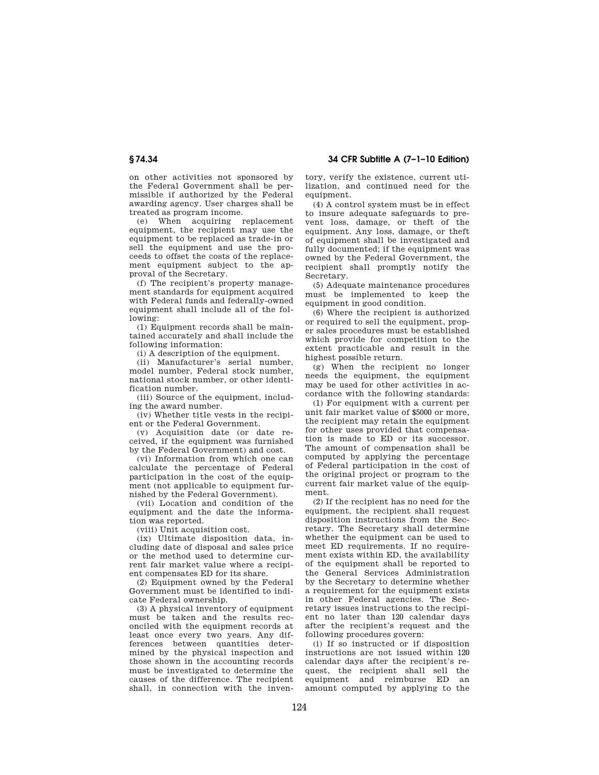on other activities not sponsored by the Federal Government shall be permissible if authorized by the Federal awarding agency. User charges shall be treated as program income.

(e) When acquiring replacement equipment, the recipient may use the equipment to be replaced as trade-in or sell the equipment and use the proceeds to offset the costs of the replacement equipment subject to the approval of the Secretary.

(f) The recipient's property management standards for equipment acquired with Federal funds and federally-owned equipment shall include all of the following:

(1) Equipment records shall be maintained accurately and shall include the following information:

(i) A description of the equipment.

(ii) Manufacturer's serial number, model number, Federal stock number, national stock number, or other identification number.

(iii) Source of the equipment, including the award number.

(iv) Whether title vests in the recipient or the Federal Government.

(v) Acquisition date (or date received, if the equipment was furnished by the Federal Government) and cost.

(vi) Information from which one can calculate the percentage of Federal participation in the cost of the equipment (not applicable to equipment furnished by the Federal Government).

(vii) Location and condition of the equipment and the date the information was reported.

(viii) Unit acquisition cost.

(ix) Ultimate disposition data, including date of disposal and sales price or the method used to determine current fair market value where a recipient compensates ED for its share.

(2) Equipment owned by the Federal Government must be identified to indicate Federal ownership.

(3) A physical inventory of equipment must be taken and the results reconciled with the equipment records at least once every two years. Any differences between quantities determined by the physical inspection and those shown in the accounting records must be investigated to determine the causes of the difference. The recipient shall, in connection with the inventory, verify the existence, current utilization, and continued need for the equipment.

(4) A control system must be in effect to insure adequate safeguards to prevent loss, damage, or theft of the equipment. Any loss, damage, or theft of equipment shall be investigated and fully documented; if the equipment was owned by the Federal Government, the recipient shall promptly notify the Secretary.

(5) Adequate maintenance procedures must be implemented to keep the equipment in good condition.

(6) Where the recipient is authorized or required to sell the equipment, proper sales procedures must be established which provide for competition to the extent practicable and result in the highest possible return.

(g) When the recipient no longer needs the equipment, the equipment may be used for other activities in accordance with the following standards:

(1) For equipment with a current per unit fair market value of \$5000 or more, the recipient may retain the equipment for other uses provided that compensation is made to ED or its successor. The amount of compensation shall be computed by applying the percentage of Federal participation in the cost of the original project or program to the current fair market value of the equipment.

(2) If the recipient has no need for the equipment, the recipient shall request disposition instructions from the Secretary. The Secretary shall determine whether the equipment can be used to meet ED requirements. If no requirement exists within ED, the availability of the equipment shall be reported to the General Services Administration by the Secretary to determine whether a requirement for the equipment exists in other Federal agencies. The Secretary issues instructions to the recipient no later than 120 calendar days after the recipient's request and the following procedures govern:

(i) If so instructed or if disposition instructions are not issued within 120 calendar days after the recipient's request, the recipient shall sell the equipment and reimburse ED an amount computed by applying to the